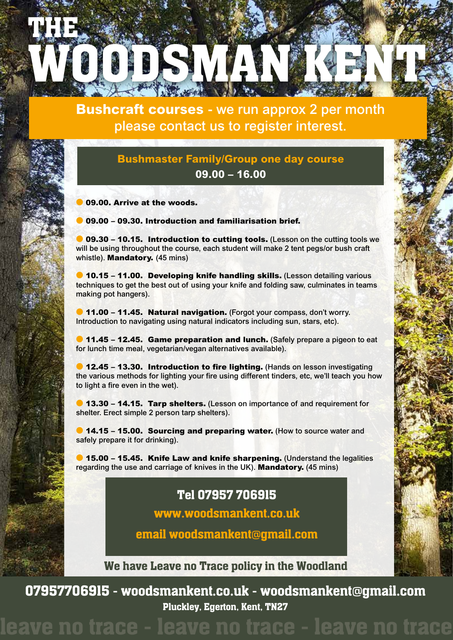

**Bushcraft courses** - we run approx 2 per month please contact us to register interest.

## **Bushmaster Family/Group one day course 09.00 – 16.00**

09.00. Arrive at the woods.

l 09.00 – 09.30. Introduction and familiarisation brief.

**09.30 - 10.15. Introduction to cutting tools.** (Lesson on the cutting tools we will be using throughout the course, each student will make 2 tent pegs/or bush craft whistle). **Mandatory.** (45 mins)

**10.15 – 11.00. Developing knife handling skills.** (Lesson detailing various techniques to get the best out of using your knife and folding saw, culminates in teams making pot hangers).

**11.00 - 11.45. Natural navigation.** (Forgot your compass, don't worry. Introduction to navigating using natural indicators including sun, stars, etc).

**11.45 - 12.45. Game preparation and lunch.** (Safely prepare a pigeon to eat for lunch time meal, vegetarian/vegan alternatives available).

**12.45 - 13.30. Introduction to fire lighting.** (Hands on lesson investigating the various methods for lighting your fire using different tinders, etc, we'll teach you how to light a fire even in the wet).

**13.30 – 14.15. Tarp shelters.** (Lesson on importance of and requirement for shelter. Erect simple 2 person tarp shelters).

**14.15 - 15.00. Sourcing and preparing water.** (How to source water and safely prepare it for drinking).

 $\bullet$  15.00 – 15.45. Knife Law and knife sharpening. (Understand the legalities regarding the use and carriage of knives in the UK). Mandatory. (45 mins)

# Tel 07957 706915

www.woodsmankent.co.uk

email woodsmankent**@**gmail.com

We have Leave no Trace policy in the Woodland

07957706915 - woodsmankent.co.uk - woodsmankent**@**gmail.com Pluckley, Egerton, Kent, TN27

# ave no trace - leave no trace - leave no trace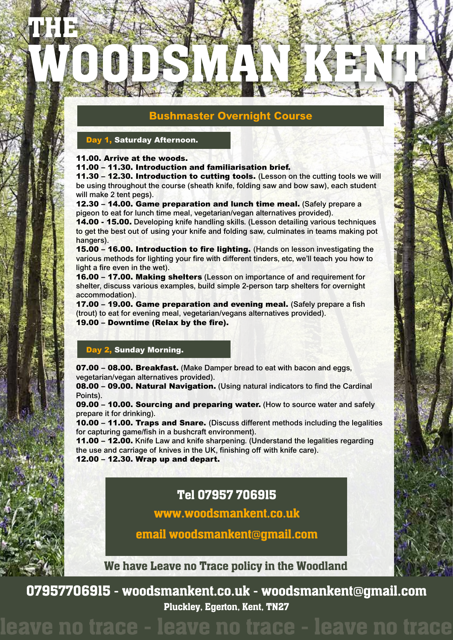### **Bushmaster Overnight Course**

WOODSMAN KENT

### Day 1, Saturday Afternoon.

#### 11.00. Arrive at the woods.

THE

í

11.00 – 11.30. Introduction and familiarisation brief.

11.30 – 12.30. Introduction to cutting tools. (Lesson on the cutting tools we will be using throughout the course (sheath knife, folding saw and bow saw), each student will make 2 tent pegs).

12.30 – 14.00. Game preparation and lunch time meal. (Safely prepare a pigeon to eat for lunch time meal, vegetarian/vegan alternatives provided).

14.00 - 15.00. Developing knife handling skills. (Lesson detailing various techniques to get the best out of using your knife and folding saw, culminates in teams making pot hangers).

15.00 – 16.00. Introduction to fire lighting. (Hands on lesson investigating the various methods for lighting your fire with different tinders, etc, we'll teach you how to light a fire even in the wet).

16.00 – 17.00. Making shelters (Lesson on importance of and requirement for shelter, discuss various examples, build simple 2-person tarp shelters for overnight accommodation).

17.00 – 19.00. Game preparation and evening meal. (Safely prepare a fish (trout) to eat for evening meal, vegetarian/vegans alternatives provided). 19.00 – Downtime (Relax by the fire).

### Day 2, Sunday Morning.

07.00 – 08.00. Breakfast. (Make Damper bread to eat with bacon and eggs, vegetarian/vegan alternatives provided).

08.00 – 09.00. Natural Navigation. (Using natural indicators to find the Cardinal Points).

09.00 – 10.00. Sourcing and preparing water. (How to source water and safely prepare it for drinking).

10.00 – 11.00. Traps and Snare. (Discuss different methods including the legalities for capturing game/fish in a bushcraft environment).

11.00 – 12.00. Knife Law and knife sharpening. (Understand the legalities regarding the use and carriage of knives in the UK, finishing off with knife care). 12.00 – 12.30. Wrap up and depart.

# Tel 07957 706915

www.woodsmankent.co.uk

email woodsmankent**@**gmail.com

We have Leave no Trace policy in the Woodland

07957706915 - woodsmankent.co.uk - woodsmankent**@**gmail.com Pluckley, Egerton, Kent, TN27

leave no trace - leave no trace - leave no trace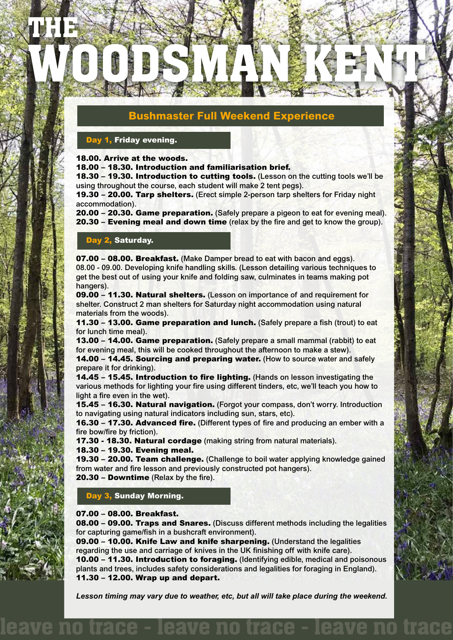### **Bushmaster Full Weekend Experience**

WOODSMAN KENT

### Day 1, Friday evening.

THE

í

18.00. Arrive at the woods.

18.00 – 18.30. Introduction and familiarisation brief.

18.30 – 19.30. Introduction to cutting tools. (Lesson on the cutting tools we'll be using throughout the course, each student will make 2 tent pegs).

19.30 – 20.00. Tarp shelters. (Erect simple 2-person tarp shelters for Friday night accommodation).

20.00 – 20.30. Game preparation. (Safely prepare a pigeon to eat for evening meal). 20.30 – Evening meal and down time (relax by the fire and get to know the group).

### Day 2, Saturday.

07.00 – 08.00. Breakfast. (Make Damper bread to eat with bacon and eggs). 08.00 - 09.00. Developing knife handling skills. (Lesson detailing various techniques to get the best out of using your knife and folding saw, culminates in teams making pot hangers).

09.00 – 11.30. Natural shelters. (Lesson on importance of and requirement for shelter. Construct 2 man shelters for Saturday night accommodation using natural materials from the woods).

11.30 – 13.00. Game preparation and lunch. (Safely prepare a fish (trout) to eat for lunch time meal).

13.00 – 14.00. Game preparation. (Safely prepare a small mammal (rabbit) to eat for evening meal, this will be cooked throughout the afternoon to make a stew).

14.00 – 14.45. Sourcing and preparing water. (How to source water and safely prepare it for drinking).

14.45 – 15.45. Introduction to fire lighting. (Hands on lesson investigating the various methods for lighting your fire using different tinders, etc, we'll teach you how to light a fire even in the wet).

15.45 – 16.30. Natural navigation. (Forgot your compass, don't worry. Introduction to navigating using natural indicators including sun, stars, etc).

16.30 – 17.30. Advanced fire. (Different types of fire and producing an ember with a fire bow/fire by friction).

17.30 - 18.30. Natural cordage (making string from natural materials).

#### 18.30 – 19.30. Evening meal.

19.30 – 20.00. Team challenge. (Challenge to boil water applying knowledge gained from water and fire lesson and previously constructed pot hangers).

20.30 – Downtime (Relax by the fire).

Day 3, Sunday Morning.

#### 07.00 – 08.00. Breakfast.

08.00 – 09.00. Traps and Snares. (Discuss different methods including the legalities for capturing game/fish in a bushcraft environment).

09.00 – 10.00. Knife Law and knife sharpening. (Understand the legalities regarding the use and carriage of knives in the UK finishing off with knife care). 10.00 – 11.30. Introduction to foraging. (Identifying edible, medical and poisonous plants and trees, includes safety considerations and legalities for foraging in England). 11.30 – 12.00. Wrap up and depart.

*Lesson timing may vary due to weather, etc, but all will take place during the weekend.*

leave no trace - leave no trace - leave no trace